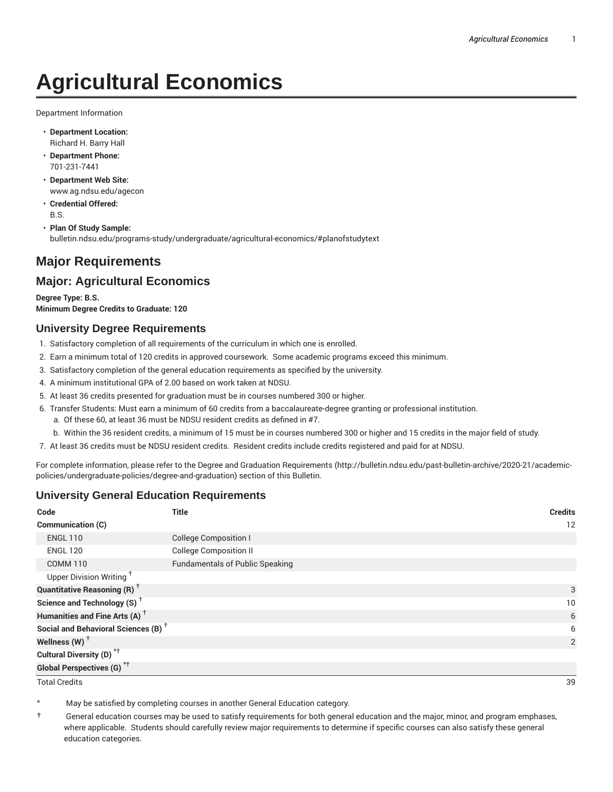# **Agricultural Economics**

Department Information

- **Department Location:** Richard H. Barry Hall
- **Department Phone:** 701-231-7441
- **Department Web Site:** www.ag.ndsu.edu/agecon
- **Credential Offered:** B.S.

• **Plan Of Study Sample:** bulletin.ndsu.edu/programs-study/undergraduate/agricultural-economics/#planofstudytext

## **Major Requirements**

### **Major: Agricultural Economics**

**Degree Type: B.S. Minimum Degree Credits to Graduate: 120**

#### **University Degree Requirements**

- 1. Satisfactory completion of all requirements of the curriculum in which one is enrolled.
- 2. Earn a minimum total of 120 credits in approved coursework. Some academic programs exceed this minimum.
- 3. Satisfactory completion of the general education requirements as specified by the university.
- 4. A minimum institutional GPA of 2.00 based on work taken at NDSU.
- 5. At least 36 credits presented for graduation must be in courses numbered 300 or higher.
- 6. Transfer Students: Must earn a minimum of 60 credits from a baccalaureate-degree granting or professional institution.
	- a. Of these 60, at least 36 must be NDSU resident credits as defined in #7.
	- b. Within the 36 resident credits, a minimum of 15 must be in courses numbered 300 or higher and 15 credits in the major field of study.
- 7. At least 36 credits must be NDSU resident credits. Resident credits include credits registered and paid for at NDSU.

For complete information, please refer to the Degree and Graduation Requirements (http://bulletin.ndsu.edu/past-bulletin-archive/2020-21/academicpolicies/undergraduate-policies/degree-and-graduation) section of this Bulletin.

#### **University General Education Requirements**

| Code                                            | <b>Title</b>                           | <b>Credits</b>  |
|-------------------------------------------------|----------------------------------------|-----------------|
| <b>Communication (C)</b>                        |                                        | 12              |
| <b>ENGL 110</b>                                 | <b>College Composition I</b>           |                 |
| <b>ENGL 120</b>                                 | <b>College Composition II</b>          |                 |
| <b>COMM 110</b>                                 | <b>Fundamentals of Public Speaking</b> |                 |
| Upper Division Writing <sup>+</sup>             |                                        |                 |
| <b>Quantitative Reasoning (R)</b> <sup>†</sup>  |                                        | 3               |
| Science and Technology (S) <sup>+</sup>         |                                        | 10 <sup>°</sup> |
| Humanities and Fine Arts (A) <sup>+</sup>       |                                        | 6               |
| Social and Behavioral Sciences (B) <sup>+</sup> |                                        | 6               |
| Wellness $(W)$ <sup>+</sup>                     |                                        | 2               |
| Cultural Diversity (D) <sup>*†</sup>            |                                        |                 |
| <b>Global Perspectives (G)<sup>*†</sup></b>     |                                        |                 |

Total Credits 39

May be satisfied by completing courses in another General Education category.

† General education courses may be used to satisfy requirements for both general education and the major, minor, and program emphases, where applicable. Students should carefully review major requirements to determine if specific courses can also satisfy these general education categories.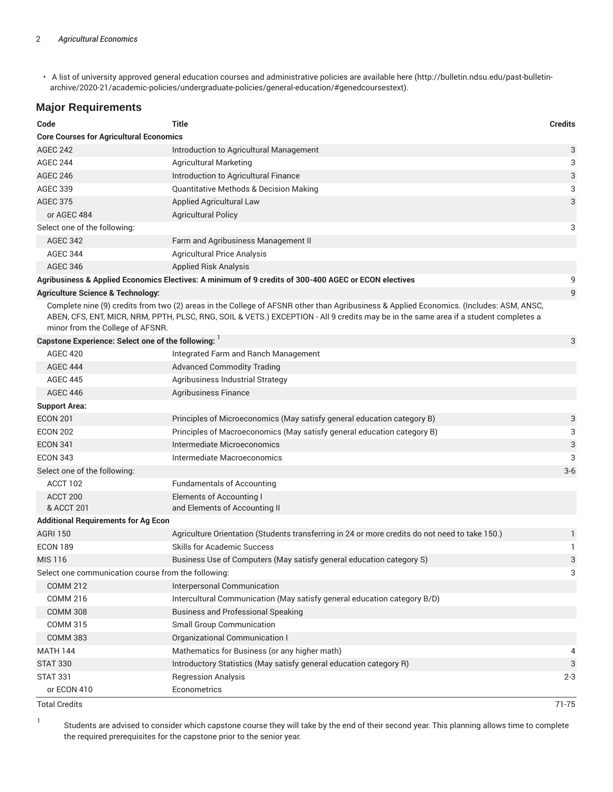• A list of university approved general education courses and administrative policies are available here (http://bulletin.ndsu.edu/past-bulletinarchive/2020-21/academic-policies/undergraduate-policies/general-education/#genedcoursestext).

#### **Major Requirements**

| Code                                                | <b>Title</b>                                                                                                                                                                                                                                                                    | <b>Credits</b> |
|-----------------------------------------------------|---------------------------------------------------------------------------------------------------------------------------------------------------------------------------------------------------------------------------------------------------------------------------------|----------------|
| <b>Core Courses for Agricultural Economics</b>      |                                                                                                                                                                                                                                                                                 |                |
| <b>AGEC 242</b>                                     | Introduction to Agricultural Management                                                                                                                                                                                                                                         | 3              |
| <b>AGEC 244</b>                                     | <b>Agricultural Marketing</b>                                                                                                                                                                                                                                                   | 3              |
| <b>AGEC 246</b>                                     | Introduction to Agricultural Finance                                                                                                                                                                                                                                            | 3              |
| <b>AGEC 339</b>                                     | <b>Quantitative Methods &amp; Decision Making</b>                                                                                                                                                                                                                               | 3              |
| <b>AGEC 375</b>                                     | <b>Applied Agricultural Law</b>                                                                                                                                                                                                                                                 | 3              |
| or AGEC 484                                         | <b>Agricultural Policy</b>                                                                                                                                                                                                                                                      |                |
| Select one of the following:                        |                                                                                                                                                                                                                                                                                 | 3              |
| <b>AGEC 342</b>                                     | Farm and Agribusiness Management II                                                                                                                                                                                                                                             |                |
| <b>AGEC 344</b>                                     | <b>Agricultural Price Analysis</b>                                                                                                                                                                                                                                              |                |
| <b>AGEC 346</b>                                     | <b>Applied Risk Analysis</b>                                                                                                                                                                                                                                                    |                |
|                                                     | Agribusiness & Applied Economics Electives: A minimum of 9 credits of 300-400 AGEC or ECON electives                                                                                                                                                                            | 9              |
| <b>Agriculture Science &amp; Technology:</b>        |                                                                                                                                                                                                                                                                                 | 9              |
| minor from the College of AFSNR.                    | Complete nine (9) credits from two (2) areas in the College of AFSNR other than Agribusiness & Applied Economics. (Includes: ASM, ANSC,<br>ABEN, CFS, ENT, MICR, NRM, PPTH, PLSC, RNG, SOIL & VETS.) EXCEPTION - All 9 credits may be in the same area if a student completes a |                |
| Capstone Experience: Select one of the following:   |                                                                                                                                                                                                                                                                                 | 3              |
| <b>AGEC 420</b>                                     | Integrated Farm and Ranch Management                                                                                                                                                                                                                                            |                |
| <b>AGEC 444</b>                                     | <b>Advanced Commodity Trading</b>                                                                                                                                                                                                                                               |                |
| <b>AGEC 445</b>                                     | Agribusiness Industrial Strategy                                                                                                                                                                                                                                                |                |
| <b>AGEC 446</b>                                     | Agribusiness Finance                                                                                                                                                                                                                                                            |                |
| <b>Support Area:</b>                                |                                                                                                                                                                                                                                                                                 |                |
| <b>ECON 201</b>                                     | Principles of Microeconomics (May satisfy general education category B)                                                                                                                                                                                                         | 3              |
| <b>ECON 202</b>                                     | Principles of Macroeconomics (May satisfy general education category B)                                                                                                                                                                                                         | 3              |
| <b>ECON 341</b>                                     | Intermediate Microeconomics                                                                                                                                                                                                                                                     | 3              |
| <b>ECON 343</b>                                     | Intermediate Macroeconomics                                                                                                                                                                                                                                                     | 3              |
| Select one of the following:                        |                                                                                                                                                                                                                                                                                 | $3-6$          |
| ACCT 102                                            | <b>Fundamentals of Accounting</b>                                                                                                                                                                                                                                               |                |
| ACCT 200                                            | Elements of Accounting I                                                                                                                                                                                                                                                        |                |
| & ACCT 201                                          | and Elements of Accounting II                                                                                                                                                                                                                                                   |                |
| <b>Additional Requirements for Ag Econ</b>          |                                                                                                                                                                                                                                                                                 |                |
| <b>AGRI 150</b>                                     | Agriculture Orientation (Students transferring in 24 or more credits do not need to take 150.)                                                                                                                                                                                  | $\mathbf{1}$   |
| <b>ECON 189</b>                                     | <b>Skills for Academic Success</b>                                                                                                                                                                                                                                              | 1              |
| <b>MIS 116</b>                                      | Business Use of Computers (May satisfy general education category S)                                                                                                                                                                                                            | 3              |
| Select one communication course from the following: |                                                                                                                                                                                                                                                                                 | 3              |
| <b>COMM 212</b>                                     | Interpersonal Communication                                                                                                                                                                                                                                                     |                |
| <b>COMM 216</b>                                     | Intercultural Communication (May satisfy general education category B/D)                                                                                                                                                                                                        |                |
| <b>COMM 308</b>                                     | <b>Business and Professional Speaking</b>                                                                                                                                                                                                                                       |                |
| <b>COMM 315</b>                                     | <b>Small Group Communication</b>                                                                                                                                                                                                                                                |                |
| <b>COMM 383</b>                                     | <b>Organizational Communication I</b>                                                                                                                                                                                                                                           |                |
| <b>MATH 144</b>                                     | Mathematics for Business (or any higher math)                                                                                                                                                                                                                                   | 4              |
| <b>STAT 330</b>                                     | Introductory Statistics (May satisfy general education category R)                                                                                                                                                                                                              | 3              |
| <b>STAT 331</b>                                     | <b>Regression Analysis</b>                                                                                                                                                                                                                                                      | $2 - 3$        |
| or ECON 410                                         | Econometrics                                                                                                                                                                                                                                                                    |                |

Total Credits 71-75

1 Students are advised to consider which capstone course they will take by the end of their second year. This planning allows time to complete the required prerequisites for the capstone prior to the senior year.